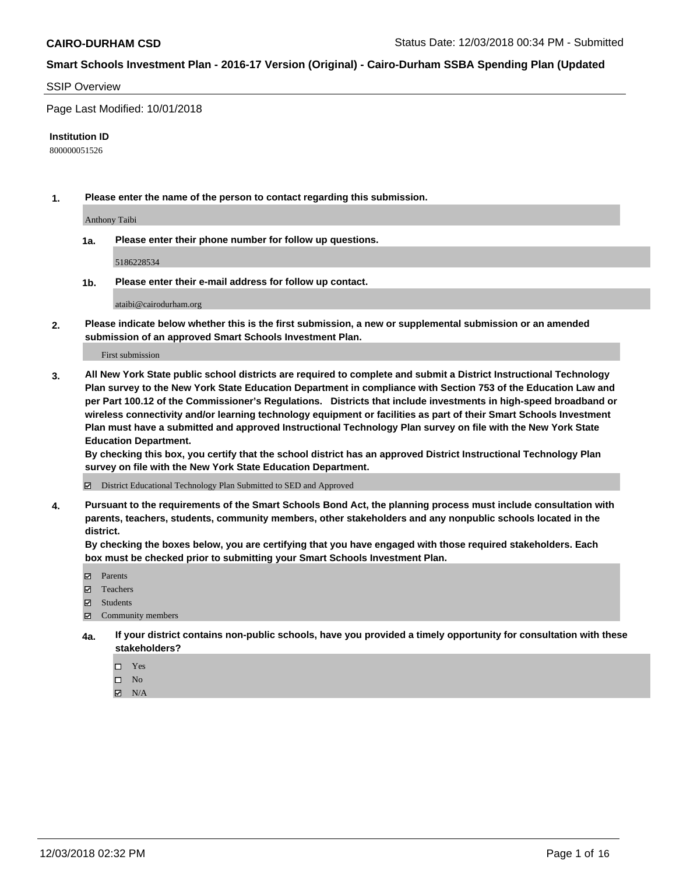#### SSIP Overview

Page Last Modified: 10/01/2018

#### **Institution ID**

800000051526

**1. Please enter the name of the person to contact regarding this submission.**

Anthony Taibi

**1a. Please enter their phone number for follow up questions.**

5186228534

**1b. Please enter their e-mail address for follow up contact.**

ataibi@cairodurham.org

**2. Please indicate below whether this is the first submission, a new or supplemental submission or an amended submission of an approved Smart Schools Investment Plan.**

First submission

**3. All New York State public school districts are required to complete and submit a District Instructional Technology Plan survey to the New York State Education Department in compliance with Section 753 of the Education Law and per Part 100.12 of the Commissioner's Regulations. Districts that include investments in high-speed broadband or wireless connectivity and/or learning technology equipment or facilities as part of their Smart Schools Investment Plan must have a submitted and approved Instructional Technology Plan survey on file with the New York State Education Department.** 

**By checking this box, you certify that the school district has an approved District Instructional Technology Plan survey on file with the New York State Education Department.**

District Educational Technology Plan Submitted to SED and Approved

**4. Pursuant to the requirements of the Smart Schools Bond Act, the planning process must include consultation with parents, teachers, students, community members, other stakeholders and any nonpublic schools located in the district.** 

**By checking the boxes below, you are certifying that you have engaged with those required stakeholders. Each box must be checked prior to submitting your Smart Schools Investment Plan.**

- **□** Parents
- Teachers
- Students
- $\boxtimes$  Community members
- **4a. If your district contains non-public schools, have you provided a timely opportunity for consultation with these stakeholders?**
	- $\Box$  Yes
	- $\qquad \qquad$  No
	- $\blacksquare$  N/A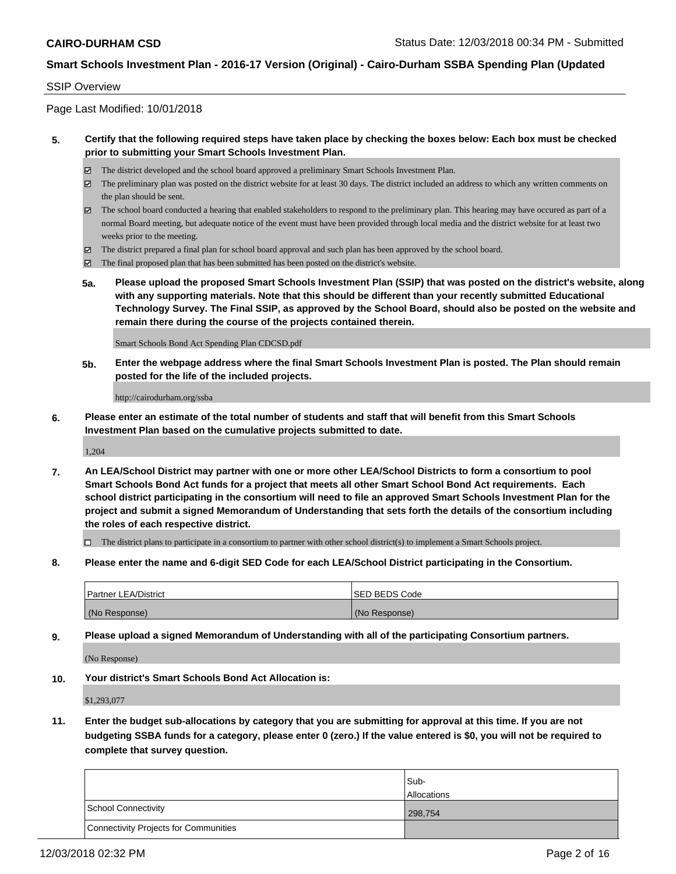#### SSIP Overview

Page Last Modified: 10/01/2018

#### **5. Certify that the following required steps have taken place by checking the boxes below: Each box must be checked prior to submitting your Smart Schools Investment Plan.**

- The district developed and the school board approved a preliminary Smart Schools Investment Plan.
- $\boxtimes$  The preliminary plan was posted on the district website for at least 30 days. The district included an address to which any written comments on the plan should be sent.
- $\boxtimes$  The school board conducted a hearing that enabled stakeholders to respond to the preliminary plan. This hearing may have occured as part of a normal Board meeting, but adequate notice of the event must have been provided through local media and the district website for at least two weeks prior to the meeting.
- The district prepared a final plan for school board approval and such plan has been approved by the school board.
- $\boxtimes$  The final proposed plan that has been submitted has been posted on the district's website.
- **5a. Please upload the proposed Smart Schools Investment Plan (SSIP) that was posted on the district's website, along with any supporting materials. Note that this should be different than your recently submitted Educational Technology Survey. The Final SSIP, as approved by the School Board, should also be posted on the website and remain there during the course of the projects contained therein.**

Smart Schools Bond Act Spending Plan CDCSD.pdf

**5b. Enter the webpage address where the final Smart Schools Investment Plan is posted. The Plan should remain posted for the life of the included projects.**

http://cairodurham.org/ssba

**6. Please enter an estimate of the total number of students and staff that will benefit from this Smart Schools Investment Plan based on the cumulative projects submitted to date.**

1,204

**7. An LEA/School District may partner with one or more other LEA/School Districts to form a consortium to pool Smart Schools Bond Act funds for a project that meets all other Smart School Bond Act requirements. Each school district participating in the consortium will need to file an approved Smart Schools Investment Plan for the project and submit a signed Memorandum of Understanding that sets forth the details of the consortium including the roles of each respective district.**

 $\Box$  The district plans to participate in a consortium to partner with other school district(s) to implement a Smart Schools project.

**8. Please enter the name and 6-digit SED Code for each LEA/School District participating in the Consortium.**

| <b>Partner LEA/District</b> | <b>ISED BEDS Code</b> |
|-----------------------------|-----------------------|
| (No Response)               | (No Response)         |

**9. Please upload a signed Memorandum of Understanding with all of the participating Consortium partners.**

(No Response)

**10. Your district's Smart Schools Bond Act Allocation is:**

\$1,293,077

**11. Enter the budget sub-allocations by category that you are submitting for approval at this time. If you are not budgeting SSBA funds for a category, please enter 0 (zero.) If the value entered is \$0, you will not be required to complete that survey question.**

|                                              | Sub-               |
|----------------------------------------------|--------------------|
|                                              | <b>Allocations</b> |
| <b>School Connectivity</b>                   | 298,754            |
| <b>Connectivity Projects for Communities</b> |                    |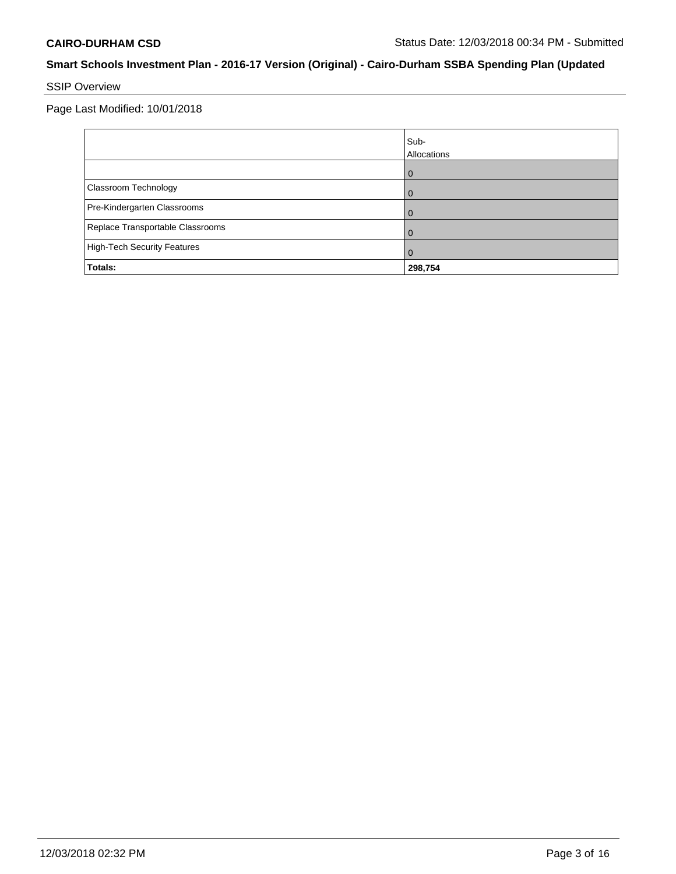## SSIP Overview

|                                    | Sub-<br>Allocations |
|------------------------------------|---------------------|
|                                    |                     |
| Classroom Technology               |                     |
| Pre-Kindergarten Classrooms        |                     |
| Replace Transportable Classrooms   |                     |
| <b>High-Tech Security Features</b> |                     |
| Totals:                            | 298,754             |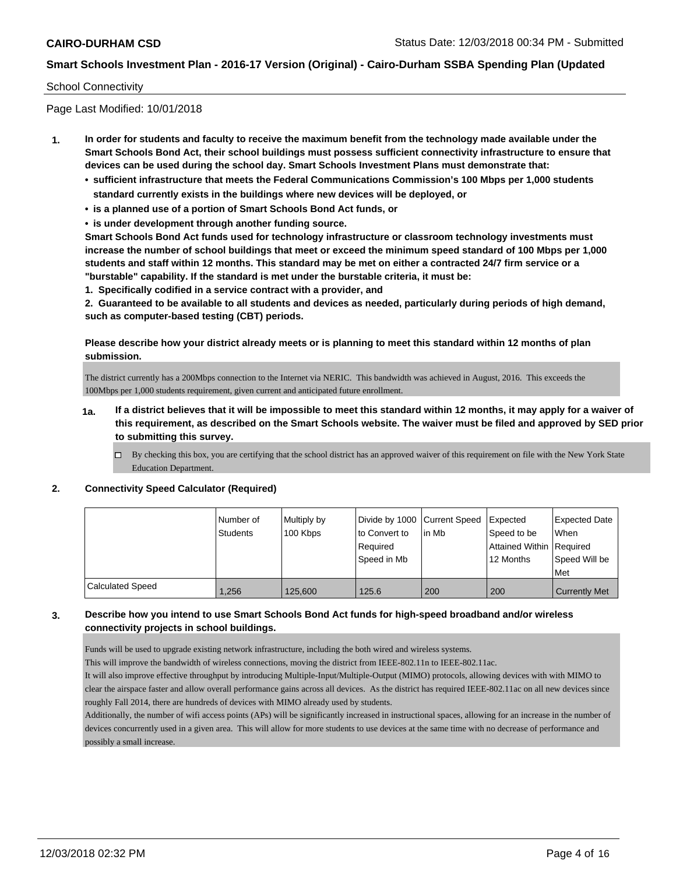#### School Connectivity

Page Last Modified: 10/01/2018

- **1. In order for students and faculty to receive the maximum benefit from the technology made available under the Smart Schools Bond Act, their school buildings must possess sufficient connectivity infrastructure to ensure that devices can be used during the school day. Smart Schools Investment Plans must demonstrate that:**
	- **• sufficient infrastructure that meets the Federal Communications Commission's 100 Mbps per 1,000 students standard currently exists in the buildings where new devices will be deployed, or**
	- **• is a planned use of a portion of Smart Schools Bond Act funds, or**
	- **• is under development through another funding source.**

**Smart Schools Bond Act funds used for technology infrastructure or classroom technology investments must increase the number of school buildings that meet or exceed the minimum speed standard of 100 Mbps per 1,000 students and staff within 12 months. This standard may be met on either a contracted 24/7 firm service or a "burstable" capability. If the standard is met under the burstable criteria, it must be:**

**1. Specifically codified in a service contract with a provider, and**

**2. Guaranteed to be available to all students and devices as needed, particularly during periods of high demand, such as computer-based testing (CBT) periods.**

#### **Please describe how your district already meets or is planning to meet this standard within 12 months of plan submission.**

The district currently has a 200Mbps connection to the Internet via NERIC. This bandwidth was achieved in August, 2016. This exceeds the 100Mbps per 1,000 students requirement, given current and anticipated future enrollment.

- **1a. If a district believes that it will be impossible to meet this standard within 12 months, it may apply for a waiver of this requirement, as described on the Smart Schools website. The waiver must be filed and approved by SED prior to submitting this survey.**
	- By checking this box, you are certifying that the school district has an approved waiver of this requirement on file with the New York State Education Department.

#### **2. Connectivity Speed Calculator (Required)**

|                  | I Number of | Multiply by |               | Divide by 1000 Current Speed Expected |                          | Expected Date        |
|------------------|-------------|-------------|---------------|---------------------------------------|--------------------------|----------------------|
|                  | Students    | 100 Kbps    | to Convert to | l in Mb                               | Speed to be              | When                 |
|                  |             |             | Required      |                                       | Attained Within Required |                      |
|                  |             |             | Speed in Mb   |                                       | 12 Months                | l Speed Will be      |
|                  |             |             |               |                                       |                          | Met                  |
| Calculated Speed | 1.256       | 125,600     | 125.6         | 200                                   | 200                      | <b>Currently Met</b> |

#### **3. Describe how you intend to use Smart Schools Bond Act funds for high-speed broadband and/or wireless connectivity projects in school buildings.**

Funds will be used to upgrade existing network infrastructure, including the both wired and wireless systems.

This will improve the bandwidth of wireless connections, moving the district from IEEE-802.11n to IEEE-802.11ac.

It will also improve effective throughput by introducing Multiple-Input/Multiple-Output (MIMO) protocols, allowing devices with with MIMO to clear the airspace faster and allow overall performance gains across all devices. As the district has required IEEE-802.11ac on all new devices since roughly Fall 2014, there are hundreds of devices with MIMO already used by students.

Additionally, the number of wifi access points (APs) will be significantly increased in instructional spaces, allowing for an increase in the number of devices concurrently used in a given area. This will allow for more students to use devices at the same time with no decrease of performance and possibly a small increase.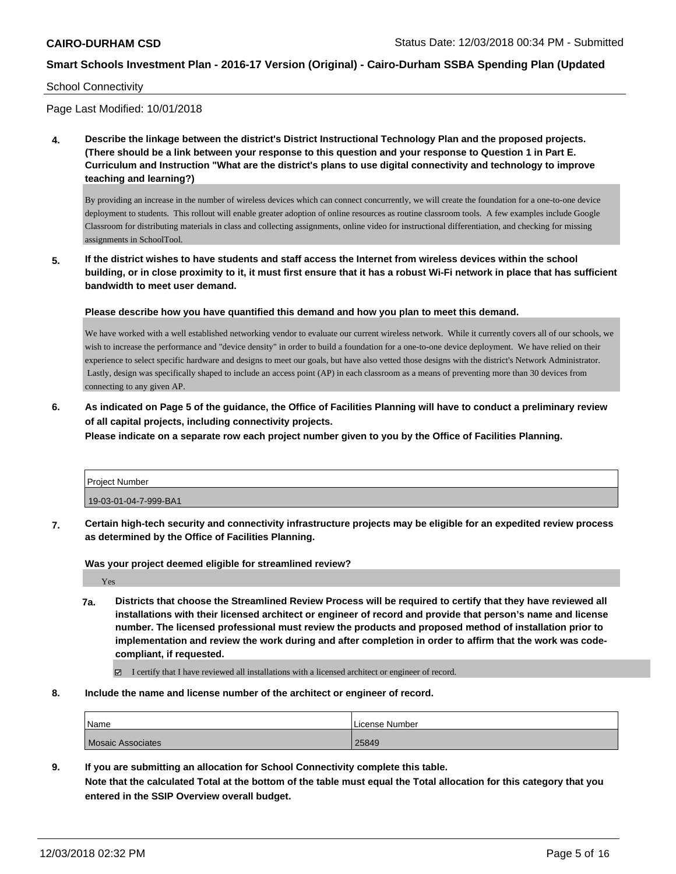#### School Connectivity

Page Last Modified: 10/01/2018

**4. Describe the linkage between the district's District Instructional Technology Plan and the proposed projects. (There should be a link between your response to this question and your response to Question 1 in Part E. Curriculum and Instruction "What are the district's plans to use digital connectivity and technology to improve teaching and learning?)**

By providing an increase in the number of wireless devices which can connect concurrently, we will create the foundation for a one-to-one device deployment to students. This rollout will enable greater adoption of online resources as routine classroom tools. A few examples include Google Classroom for distributing materials in class and collecting assignments, online video for instructional differentiation, and checking for missing assignments in SchoolTool.

**5. If the district wishes to have students and staff access the Internet from wireless devices within the school building, or in close proximity to it, it must first ensure that it has a robust Wi-Fi network in place that has sufficient bandwidth to meet user demand.**

**Please describe how you have quantified this demand and how you plan to meet this demand.**

We have worked with a well established networking vendor to evaluate our current wireless network. While it currently covers all of our schools, we wish to increase the performance and "device density" in order to build a foundation for a one-to-one device deployment. We have relied on their experience to select specific hardware and designs to meet our goals, but have also vetted those designs with the district's Network Administrator. Lastly, design was specifically shaped to include an access point (AP) in each classroom as a means of preventing more than 30 devices from connecting to any given AP.

**6. As indicated on Page 5 of the guidance, the Office of Facilities Planning will have to conduct a preliminary review of all capital projects, including connectivity projects.**

**Please indicate on a separate row each project number given to you by the Office of Facilities Planning.**

| Project Number        |  |
|-----------------------|--|
| 19-03-01-04-7-999-BA1 |  |

**7. Certain high-tech security and connectivity infrastructure projects may be eligible for an expedited review process as determined by the Office of Facilities Planning.**

**Was your project deemed eligible for streamlined review?**

Yes

**7a. Districts that choose the Streamlined Review Process will be required to certify that they have reviewed all installations with their licensed architect or engineer of record and provide that person's name and license number. The licensed professional must review the products and proposed method of installation prior to implementation and review the work during and after completion in order to affirm that the work was codecompliant, if requested.**

I certify that I have reviewed all installations with a licensed architect or engineer of record.

**8. Include the name and license number of the architect or engineer of record.**

| <sup>1</sup> Name | License Number |
|-------------------|----------------|
| Mosaic Associates | 25849          |

**9. If you are submitting an allocation for School Connectivity complete this table.**

**Note that the calculated Total at the bottom of the table must equal the Total allocation for this category that you entered in the SSIP Overview overall budget.**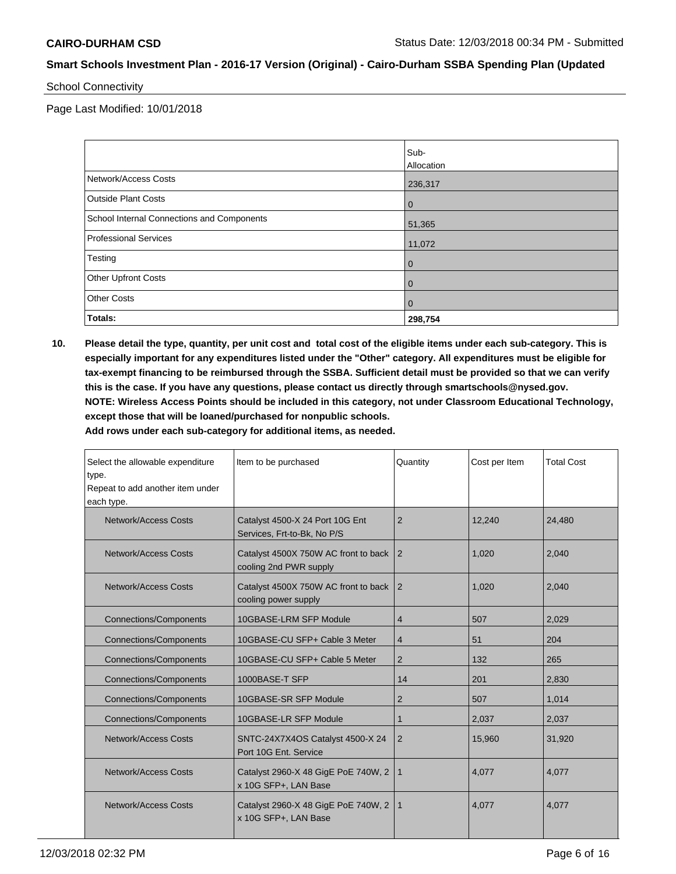School Connectivity

Page Last Modified: 10/01/2018

|                                            | Sub-<br>Allocation |
|--------------------------------------------|--------------------|
| Network/Access Costs                       | 236,317            |
| <b>Outside Plant Costs</b>                 | l 0                |
| School Internal Connections and Components | 51,365             |
| <b>Professional Services</b>               | 11,072             |
| Testing                                    | l 0                |
| <b>Other Upfront Costs</b>                 | $\overline{0}$     |
| <b>Other Costs</b>                         | $\overline{0}$     |
| Totals:                                    | 298,754            |

**10. Please detail the type, quantity, per unit cost and total cost of the eligible items under each sub-category. This is especially important for any expenditures listed under the "Other" category. All expenditures must be eligible for tax-exempt financing to be reimbursed through the SSBA. Sufficient detail must be provided so that we can verify this is the case. If you have any questions, please contact us directly through smartschools@nysed.gov. NOTE: Wireless Access Points should be included in this category, not under Classroom Educational Technology, except those that will be loaned/purchased for nonpublic schools.**

**Add rows under each sub-category for additional items, as needed.**

| Select the allowable expenditure<br>type.<br>Repeat to add another item under<br>each type. | Item to be purchased                                           | Quantity       | Cost per Item | <b>Total Cost</b> |
|---------------------------------------------------------------------------------------------|----------------------------------------------------------------|----------------|---------------|-------------------|
| Network/Access Costs                                                                        | Catalyst 4500-X 24 Port 10G Ent<br>Services, Frt-to-Bk, No P/S | $\overline{2}$ | 12,240        | 24,480            |
| Network/Access Costs                                                                        | Catalyst 4500X 750W AC front to back<br>cooling 2nd PWR supply | $\overline{2}$ | 1,020         | 2,040             |
| Network/Access Costs                                                                        | Catalyst 4500X 750W AC front to back<br>cooling power supply   | $\overline{2}$ | 1.020         | 2,040             |
| <b>Connections/Components</b>                                                               | 10GBASE-LRM SFP Module                                         | 4              | 507           | 2,029             |
| <b>Connections/Components</b>                                                               | 10GBASE-CU SFP+ Cable 3 Meter                                  | $\overline{4}$ | 51            | 204               |
| <b>Connections/Components</b>                                                               | 10GBASE-CU SFP+ Cable 5 Meter                                  | $\overline{2}$ | 132           | 265               |
| <b>Connections/Components</b>                                                               | 1000BASE-T SFP                                                 | 14             | 201           | 2.830             |
| <b>Connections/Components</b>                                                               | 10GBASE-SR SFP Module                                          | $\overline{2}$ | 507           | 1,014             |
| <b>Connections/Components</b>                                                               | 10GBASE-LR SFP Module                                          | 1              | 2,037         | 2,037             |
| <b>Network/Access Costs</b>                                                                 | SNTC-24X7X4OS Catalyst 4500-X 24<br>Port 10G Ent. Service      | 2              | 15,960        | 31,920            |
| <b>Network/Access Costs</b>                                                                 | Catalyst 2960-X 48 GigE PoE 740W, 2<br>x 10G SFP+, LAN Base    | $\mathbf{1}$   | 4,077         | 4,077             |
| Network/Access Costs                                                                        | Catalyst 2960-X 48 GigE PoE 740W, 2<br>x 10G SFP+, LAN Base    | $\mathbf{1}$   | 4,077         | 4,077             |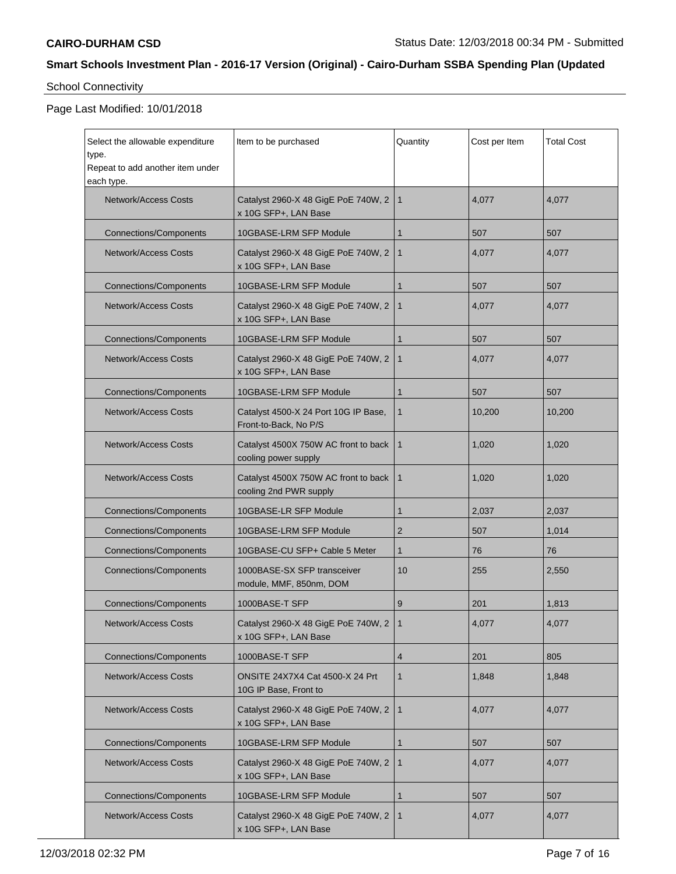# School Connectivity

| Select the allowable expenditure                        | Item to be purchased                                            | Quantity       | Cost per Item | <b>Total Cost</b> |
|---------------------------------------------------------|-----------------------------------------------------------------|----------------|---------------|-------------------|
| type.<br>Repeat to add another item under<br>each type. |                                                                 |                |               |                   |
| <b>Network/Access Costs</b>                             | Catalyst 2960-X 48 GigE PoE 740W, 2<br>x 10G SFP+, LAN Base     | $\mathbf{1}$   | 4,077         | 4,077             |
| <b>Connections/Components</b>                           | 10GBASE-LRM SFP Module                                          | 1              | 507           | 507               |
| <b>Network/Access Costs</b>                             | Catalyst 2960-X 48 GigE PoE 740W, 2<br>x 10G SFP+, LAN Base     | $\mathbf{1}$   | 4,077         | 4,077             |
| <b>Connections/Components</b>                           | 10GBASE-LRM SFP Module                                          | 1              | 507           | 507               |
| <b>Network/Access Costs</b>                             | Catalyst 2960-X 48 GigE PoE 740W, 2<br>x 10G SFP+, LAN Base     | $\mathbf{1}$   | 4,077         | 4,077             |
| <b>Connections/Components</b>                           | 10GBASE-LRM SFP Module                                          | 1              | 507           | 507               |
| <b>Network/Access Costs</b>                             | Catalyst 2960-X 48 GigE PoE 740W, 2<br>x 10G SFP+, LAN Base     | $\mathbf{1}$   | 4,077         | 4,077             |
| <b>Connections/Components</b>                           | 10GBASE-LRM SFP Module                                          | 1              | 507           | 507               |
| <b>Network/Access Costs</b>                             | Catalyst 4500-X 24 Port 10G IP Base,<br>Front-to-Back, No P/S   | $\mathbf{1}$   | 10,200        | 10,200            |
| <b>Network/Access Costs</b>                             | Catalyst 4500X 750W AC front to back<br>cooling power supply    | $\mathbf{1}$   | 1,020         | 1,020             |
| <b>Network/Access Costs</b>                             | Catalyst 4500X 750W AC front to back<br>cooling 2nd PWR supply  | $\mathbf 1$    | 1,020         | 1,020             |
| <b>Connections/Components</b>                           | 10GBASE-LR SFP Module                                           | 1              | 2,037         | 2,037             |
| <b>Connections/Components</b>                           | 10GBASE-LRM SFP Module                                          | 2              | 507           | 1,014             |
| <b>Connections/Components</b>                           | 10GBASE-CU SFP+ Cable 5 Meter                                   | 1              | 76            | 76                |
| <b>Connections/Components</b>                           | 1000BASE-SX SFP transceiver<br>module, MMF, 850nm, DOM          | 10             | 255           | 2,550             |
| <b>Connections/Components</b>                           | 1000BASE-T SFP                                                  | 9              | 201           | 1,813             |
| Network/Access Costs                                    | Catalyst 2960-X 48 GigE PoE 740W, 2<br>x 10G SFP+, LAN Base     | $\overline{1}$ | 4,077         | 4,077             |
| <b>Connections/Components</b>                           | 1000BASE-T SFP                                                  | 4              | 201           | 805               |
| <b>Network/Access Costs</b>                             | <b>ONSITE 24X7X4 Cat 4500-X 24 Prt</b><br>10G IP Base, Front to | $\mathbf{1}$   | 1,848         | 1,848             |
| Network/Access Costs                                    | Catalyst 2960-X 48 GigE PoE 740W, 2<br>x 10G SFP+, LAN Base     | $\mathbf{1}$   | 4,077         | 4,077             |
| <b>Connections/Components</b>                           | 10GBASE-LRM SFP Module                                          | 1              | 507           | 507               |
| <b>Network/Access Costs</b>                             | Catalyst 2960-X 48 GigE PoE 740W, 2<br>x 10G SFP+, LAN Base     | $\mathbf{1}$   | 4,077         | 4,077             |
| <b>Connections/Components</b>                           | 10GBASE-LRM SFP Module                                          | 1              | 507           | 507               |
| <b>Network/Access Costs</b>                             | Catalyst 2960-X 48 GigE PoE 740W, 2<br>x 10G SFP+, LAN Base     | $\mathbf{1}$   | 4,077         | 4,077             |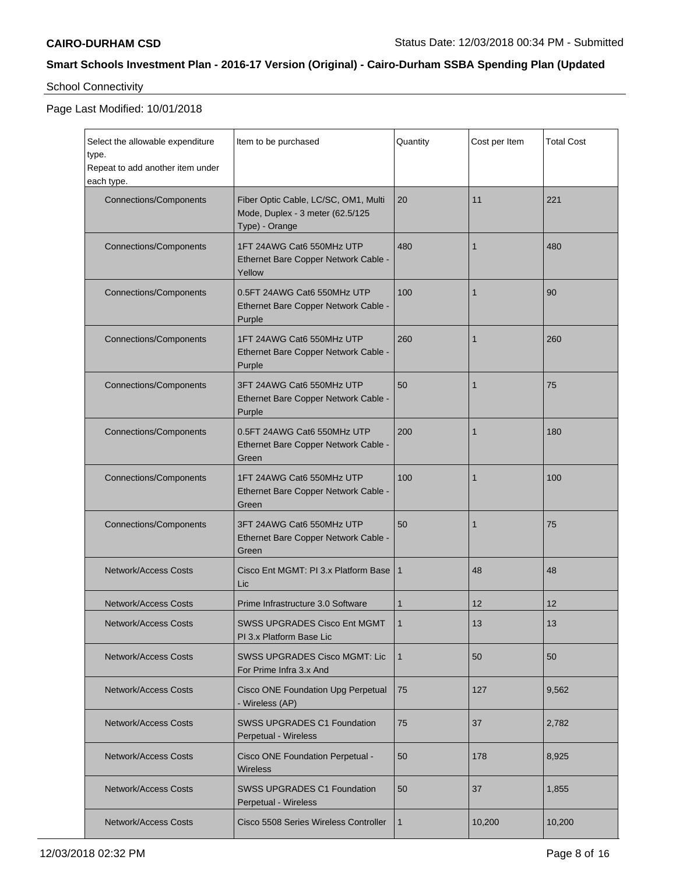# School Connectivity

| Select the allowable expenditure<br>type.      | Item to be purchased                                                                       | Quantity     | Cost per Item   | <b>Total Cost</b> |
|------------------------------------------------|--------------------------------------------------------------------------------------------|--------------|-----------------|-------------------|
| Repeat to add another item under<br>each type. |                                                                                            |              |                 |                   |
| <b>Connections/Components</b>                  | Fiber Optic Cable, LC/SC, OM1, Multi<br>Mode, Duplex - 3 meter (62.5/125<br>Type) - Orange | 20           | 11              | 221               |
| <b>Connections/Components</b>                  | 1FT 24AWG Cat6 550MHz UTP<br>Ethernet Bare Copper Network Cable -<br>Yellow                | 480          | $\mathbf{1}$    | 480               |
| <b>Connections/Components</b>                  | 0.5FT 24AWG Cat6 550MHz UTP<br>Ethernet Bare Copper Network Cable -<br>Purple              | 100          | 1               | 90                |
| <b>Connections/Components</b>                  | 1FT 24AWG Cat6 550MHz UTP<br>Ethernet Bare Copper Network Cable -<br>Purple                | 260          | 1               | 260               |
| <b>Connections/Components</b>                  | 3FT 24AWG Cat6 550MHz UTP<br>Ethernet Bare Copper Network Cable -<br>Purple                | 50           | 1               | 75                |
| <b>Connections/Components</b>                  | 0.5FT 24AWG Cat6 550MHz UTP<br>Ethernet Bare Copper Network Cable -<br>Green               | 200          | 1               | 180               |
| <b>Connections/Components</b>                  | 1FT 24AWG Cat6 550MHz UTP<br>Ethernet Bare Copper Network Cable -<br>Green                 | 100          | 1               | 100               |
| <b>Connections/Components</b>                  | 3FT 24AWG Cat6 550MHz UTP<br>Ethernet Bare Copper Network Cable -<br>Green                 | 50           | 1               | 75                |
| <b>Network/Access Costs</b>                    | Cisco Ent MGMT: PI 3.x Platform Base<br>Lic                                                | $\mathbf{1}$ | 48              | 48                |
| <b>Network/Access Costs</b>                    | Prime Infrastructure 3.0 Software                                                          | $\mathbf{1}$ | 12 <sup>2</sup> | 12                |
| Network/Access Costs                           | SWSS UPGRADES Cisco Ent MGMT<br>PI 3.x Platform Base Lic                                   | $\mathbf{1}$ | 13              | 13                |
| <b>Network/Access Costs</b>                    | <b>SWSS UPGRADES Cisco MGMT: Lic</b><br>For Prime Infra 3.x And                            | $\mathbf{1}$ | 50              | 50                |
| <b>Network/Access Costs</b>                    | Cisco ONE Foundation Upg Perpetual<br>- Wireless (AP)                                      | 75           | 127             | 9,562             |
| <b>Network/Access Costs</b>                    | <b>SWSS UPGRADES C1 Foundation</b><br>Perpetual - Wireless                                 | 75           | 37              | 2,782             |
| <b>Network/Access Costs</b>                    | Cisco ONE Foundation Perpetual -<br><b>Wireless</b>                                        | 50           | 178             | 8,925             |
| <b>Network/Access Costs</b>                    | <b>SWSS UPGRADES C1 Foundation</b><br>Perpetual - Wireless                                 | 50           | 37              | 1,855             |
| <b>Network/Access Costs</b>                    | Cisco 5508 Series Wireless Controller                                                      | 1            | 10,200          | 10,200            |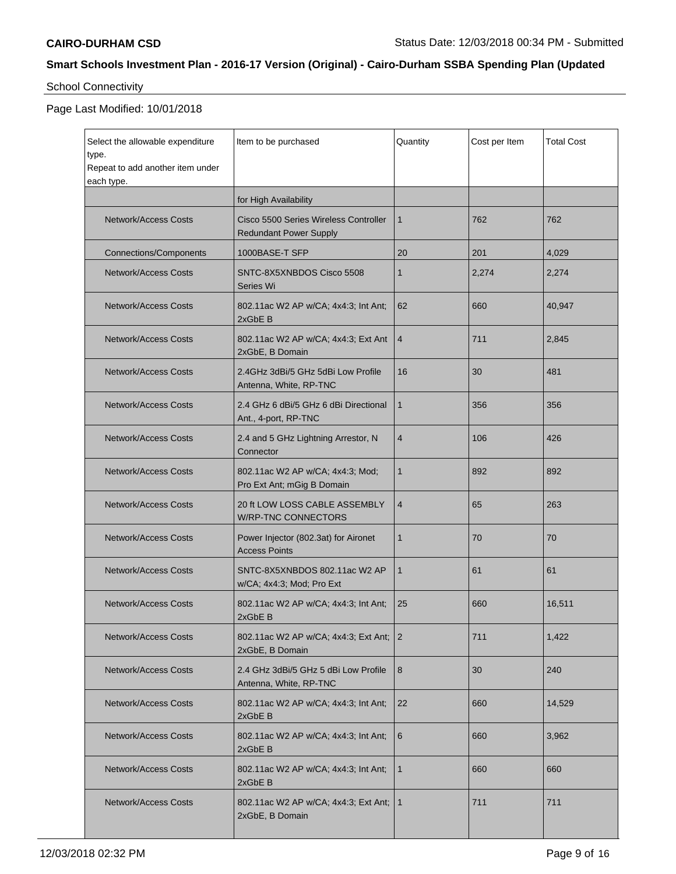# School Connectivity

| Select the allowable expenditure<br>type.<br>Repeat to add another item under<br>each type. | Item to be purchased                                                   | Quantity       | Cost per Item | <b>Total Cost</b> |
|---------------------------------------------------------------------------------------------|------------------------------------------------------------------------|----------------|---------------|-------------------|
|                                                                                             | for High Availability                                                  |                |               |                   |
| <b>Network/Access Costs</b>                                                                 | Cisco 5500 Series Wireless Controller<br><b>Redundant Power Supply</b> | 1              | 762           | 762               |
| <b>Connections/Components</b>                                                               | 1000BASE-T SFP                                                         | 20             | 201           | 4,029             |
| <b>Network/Access Costs</b>                                                                 | SNTC-8X5XNBDOS Cisco 5508<br>Series Wi                                 | $\mathbf{1}$   | 2,274         | 2,274             |
| <b>Network/Access Costs</b>                                                                 | 802.11ac W2 AP w/CA; 4x4:3; Int Ant;<br>2xGbE B                        | 62             | 660           | 40,947            |
| <b>Network/Access Costs</b>                                                                 | 802.11ac W2 AP w/CA; 4x4:3; Ext Ant<br>2xGbE, B Domain                 | $\overline{4}$ | 711           | 2,845             |
| <b>Network/Access Costs</b>                                                                 | 2.4GHz 3dBi/5 GHz 5dBi Low Profile<br>Antenna, White, RP-TNC           | 16             | 30            | 481               |
| <b>Network/Access Costs</b>                                                                 | 2.4 GHz 6 dBi/5 GHz 6 dBi Directional<br>Ant., 4-port, RP-TNC          | $\mathbf{1}$   | 356           | 356               |
| <b>Network/Access Costs</b>                                                                 | 2.4 and 5 GHz Lightning Arrestor, N<br>Connector                       | $\overline{4}$ | 106           | 426               |
| <b>Network/Access Costs</b>                                                                 | 802.11ac W2 AP w/CA; 4x4:3; Mod;<br>Pro Ext Ant; mGig B Domain         | $\mathbf{1}$   | 892           | 892               |
| <b>Network/Access Costs</b>                                                                 | 20 ft LOW LOSS CABLE ASSEMBLY<br>W/RP-TNC CONNECTORS                   | 4              | 65            | 263               |
| <b>Network/Access Costs</b>                                                                 | Power Injector (802.3at) for Aironet<br><b>Access Points</b>           | $\mathbf{1}$   | 70            | 70                |
| <b>Network/Access Costs</b>                                                                 | SNTC-8X5XNBDOS 802.11ac W2 AP<br>w/CA; 4x4:3; Mod; Pro Ext             | $\mathbf{1}$   | 61            | 61                |
| <b>Network/Access Costs</b>                                                                 | 802.11ac W2 AP w/CA; 4x4:3; Int Ant;<br>2xGbE B                        | 25             | 660           | 16,511            |
| Network/Access Costs                                                                        | 802.11ac W2 AP w/CA; 4x4:3; Ext Ant;<br>2xGbE, B Domain                | $\overline{2}$ | 711           | 1,422             |
| Network/Access Costs                                                                        | 2.4 GHz 3dBi/5 GHz 5 dBi Low Profile<br>Antenna, White, RP-TNC         | 8              | 30            | 240               |
| <b>Network/Access Costs</b>                                                                 | 802.11ac W2 AP w/CA; 4x4:3; Int Ant;<br>2xGbE B                        | 22             | 660           | 14,529            |
| <b>Network/Access Costs</b>                                                                 | 802.11ac W2 AP w/CA; 4x4:3; Int Ant;<br>2xGbE B                        | 6              | 660           | 3,962             |
| <b>Network/Access Costs</b>                                                                 | 802.11ac W2 AP w/CA; 4x4:3; Int Ant;<br>2xGbE B                        | $\mathbf 1$    | 660           | 660               |
| <b>Network/Access Costs</b>                                                                 | 802.11ac W2 AP w/CA; 4x4:3; Ext Ant;<br>2xGbE, B Domain                | $\mathbf{1}$   | 711           | 711               |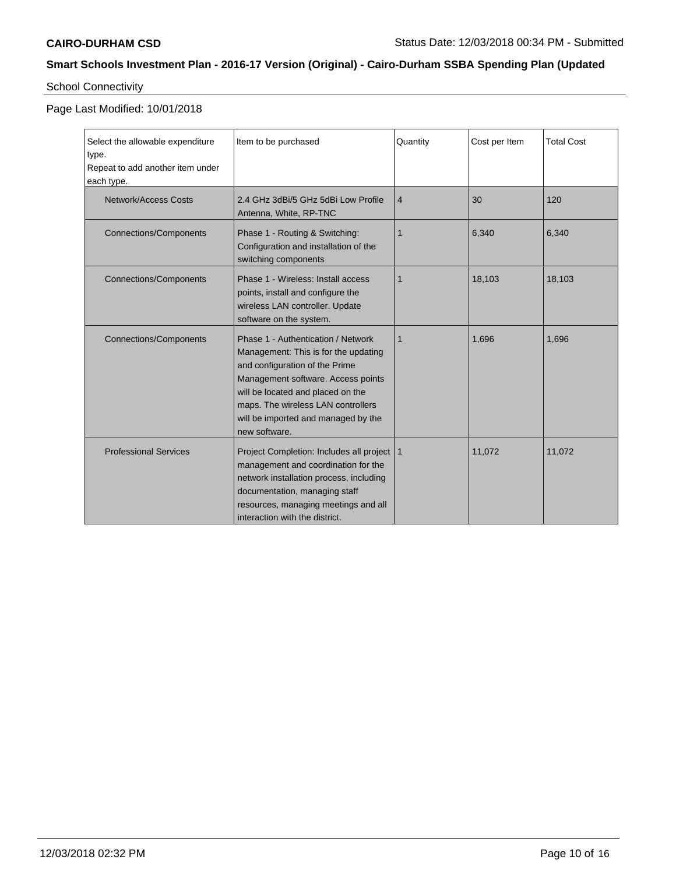# School Connectivity

| Select the allowable expenditure<br>type.<br>Repeat to add another item under<br>each type. | Item to be purchased                                                                                                                                                                                                                                                                  | Quantity       | Cost per Item | <b>Total Cost</b> |
|---------------------------------------------------------------------------------------------|---------------------------------------------------------------------------------------------------------------------------------------------------------------------------------------------------------------------------------------------------------------------------------------|----------------|---------------|-------------------|
| Network/Access Costs                                                                        | 2.4 GHz 3dBi/5 GHz 5dBi Low Profile<br>Antenna, White, RP-TNC                                                                                                                                                                                                                         | $\overline{4}$ | 30            | 120               |
| <b>Connections/Components</b>                                                               | Phase 1 - Routing & Switching:<br>Configuration and installation of the<br>switching components                                                                                                                                                                                       | 1              | 6.340         | 6,340             |
| <b>Connections/Components</b>                                                               | Phase 1 - Wireless: Install access<br>points, install and configure the<br>wireless LAN controller. Update<br>software on the system.                                                                                                                                                 | 1              | 18,103        | 18,103            |
| <b>Connections/Components</b>                                                               | Phase 1 - Authentication / Network<br>Management: This is for the updating<br>and configuration of the Prime<br>Management software. Access points<br>will be located and placed on the<br>maps. The wireless LAN controllers<br>will be imported and managed by the<br>new software. | $\mathbf{1}$   | 1,696         | 1,696             |
| <b>Professional Services</b>                                                                | Project Completion: Includes all project   1<br>management and coordination for the<br>network installation process, including<br>documentation, managing staff<br>resources, managing meetings and all<br>interaction with the district.                                             |                | 11,072        | 11,072            |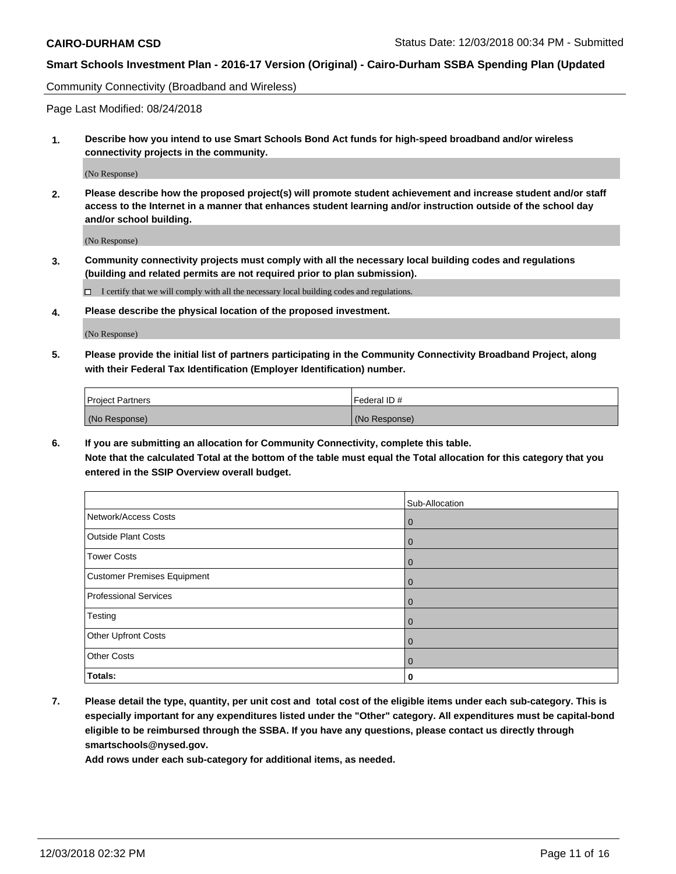Community Connectivity (Broadband and Wireless)

Page Last Modified: 08/24/2018

**1. Describe how you intend to use Smart Schools Bond Act funds for high-speed broadband and/or wireless connectivity projects in the community.**

(No Response)

**2. Please describe how the proposed project(s) will promote student achievement and increase student and/or staff access to the Internet in a manner that enhances student learning and/or instruction outside of the school day and/or school building.**

(No Response)

**3. Community connectivity projects must comply with all the necessary local building codes and regulations (building and related permits are not required prior to plan submission).**

 $\Box$  I certify that we will comply with all the necessary local building codes and regulations.

**4. Please describe the physical location of the proposed investment.**

(No Response)

**5. Please provide the initial list of partners participating in the Community Connectivity Broadband Project, along with their Federal Tax Identification (Employer Identification) number.**

| <b>Project Partners</b> | l Federal ID # |
|-------------------------|----------------|
| (No Response)           | (No Response)  |

**6. If you are submitting an allocation for Community Connectivity, complete this table. Note that the calculated Total at the bottom of the table must equal the Total allocation for this category that you entered in the SSIP Overview overall budget.**

|                              | Sub-Allocation |
|------------------------------|----------------|
| Network/Access Costs         | $\overline{0}$ |
| <b>Outside Plant Costs</b>   | $\overline{0}$ |
| <b>Tower Costs</b>           | $\mathbf 0$    |
| Customer Premises Equipment  | $\mathbf 0$    |
| <b>Professional Services</b> | $\mathbf 0$    |
| Testing                      | $\mathbf 0$    |
| Other Upfront Costs          | $\mathbf 0$    |
| <b>Other Costs</b>           | $\overline{0}$ |
| Totals:                      | 0              |

**7. Please detail the type, quantity, per unit cost and total cost of the eligible items under each sub-category. This is especially important for any expenditures listed under the "Other" category. All expenditures must be capital-bond eligible to be reimbursed through the SSBA. If you have any questions, please contact us directly through smartschools@nysed.gov.**

**Add rows under each sub-category for additional items, as needed.**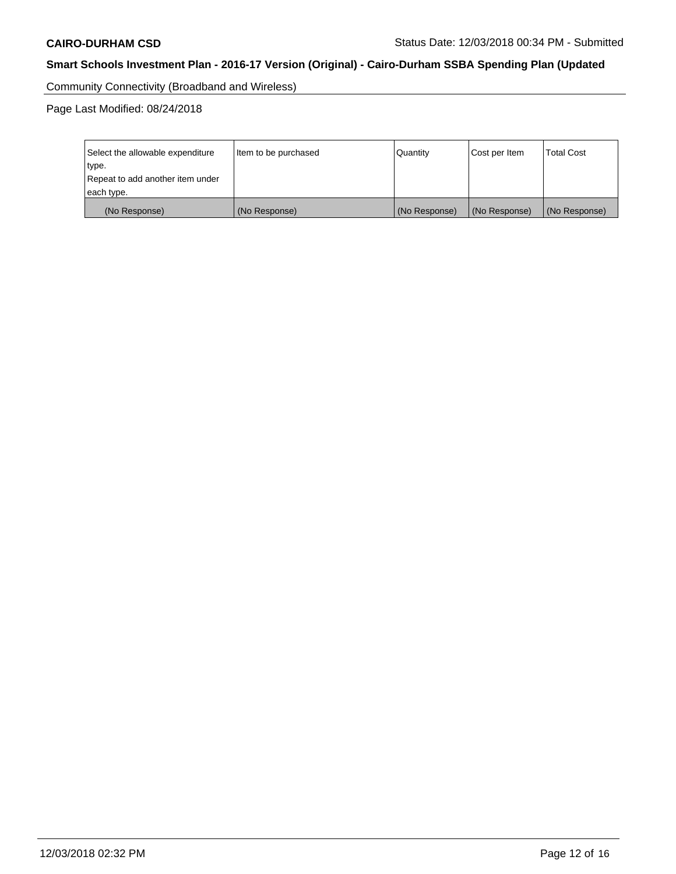Community Connectivity (Broadband and Wireless)

Page Last Modified: 08/24/2018

| Select the allowable expenditure<br>type.<br>Repeat to add another item under | Item to be purchased | Quantity      | Cost per Item | <b>Total Cost</b> |
|-------------------------------------------------------------------------------|----------------------|---------------|---------------|-------------------|
| each type.                                                                    |                      |               |               |                   |
| (No Response)                                                                 | (No Response)        | (No Response) | (No Response) | (No Response)     |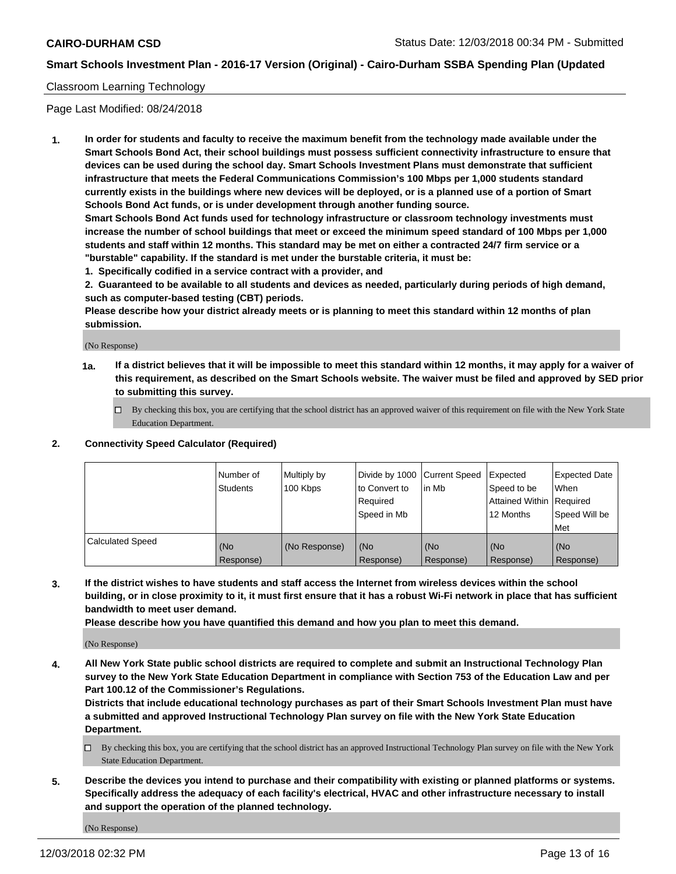#### Classroom Learning Technology

Page Last Modified: 08/24/2018

**1. In order for students and faculty to receive the maximum benefit from the technology made available under the Smart Schools Bond Act, their school buildings must possess sufficient connectivity infrastructure to ensure that devices can be used during the school day. Smart Schools Investment Plans must demonstrate that sufficient infrastructure that meets the Federal Communications Commission's 100 Mbps per 1,000 students standard currently exists in the buildings where new devices will be deployed, or is a planned use of a portion of Smart Schools Bond Act funds, or is under development through another funding source.**

**Smart Schools Bond Act funds used for technology infrastructure or classroom technology investments must increase the number of school buildings that meet or exceed the minimum speed standard of 100 Mbps per 1,000 students and staff within 12 months. This standard may be met on either a contracted 24/7 firm service or a "burstable" capability. If the standard is met under the burstable criteria, it must be:**

**1. Specifically codified in a service contract with a provider, and**

**2. Guaranteed to be available to all students and devices as needed, particularly during periods of high demand, such as computer-based testing (CBT) periods.**

**Please describe how your district already meets or is planning to meet this standard within 12 months of plan submission.**

(No Response)

- **1a. If a district believes that it will be impossible to meet this standard within 12 months, it may apply for a waiver of this requirement, as described on the Smart Schools website. The waiver must be filed and approved by SED prior to submitting this survey.**
	- By checking this box, you are certifying that the school district has an approved waiver of this requirement on file with the New York State Education Department.

#### **2. Connectivity Speed Calculator (Required)**

|                         | Number of<br><b>Students</b> | Multiply by<br>100 Kbps | Divide by 1000 Current Speed<br>to Convert to<br>Required<br>l Speed in Mb | lin Mb           | <b>Expected</b><br>Speed to be<br><b>Attained Within Required</b><br>12 Months | <b>Expected Date</b><br>When<br>Speed Will be<br><b>Met</b> |
|-------------------------|------------------------------|-------------------------|----------------------------------------------------------------------------|------------------|--------------------------------------------------------------------------------|-------------------------------------------------------------|
| <b>Calculated Speed</b> | (No<br>Response)             | (No Response)           | (No<br>Response)                                                           | (No<br>Response) | l (No<br>Response)                                                             | (No<br>Response)                                            |

**3. If the district wishes to have students and staff access the Internet from wireless devices within the school building, or in close proximity to it, it must first ensure that it has a robust Wi-Fi network in place that has sufficient bandwidth to meet user demand.**

**Please describe how you have quantified this demand and how you plan to meet this demand.**

(No Response)

**4. All New York State public school districts are required to complete and submit an Instructional Technology Plan survey to the New York State Education Department in compliance with Section 753 of the Education Law and per Part 100.12 of the Commissioner's Regulations.**

**Districts that include educational technology purchases as part of their Smart Schools Investment Plan must have a submitted and approved Instructional Technology Plan survey on file with the New York State Education Department.**

- By checking this box, you are certifying that the school district has an approved Instructional Technology Plan survey on file with the New York State Education Department.
- **5. Describe the devices you intend to purchase and their compatibility with existing or planned platforms or systems. Specifically address the adequacy of each facility's electrical, HVAC and other infrastructure necessary to install and support the operation of the planned technology.**

(No Response)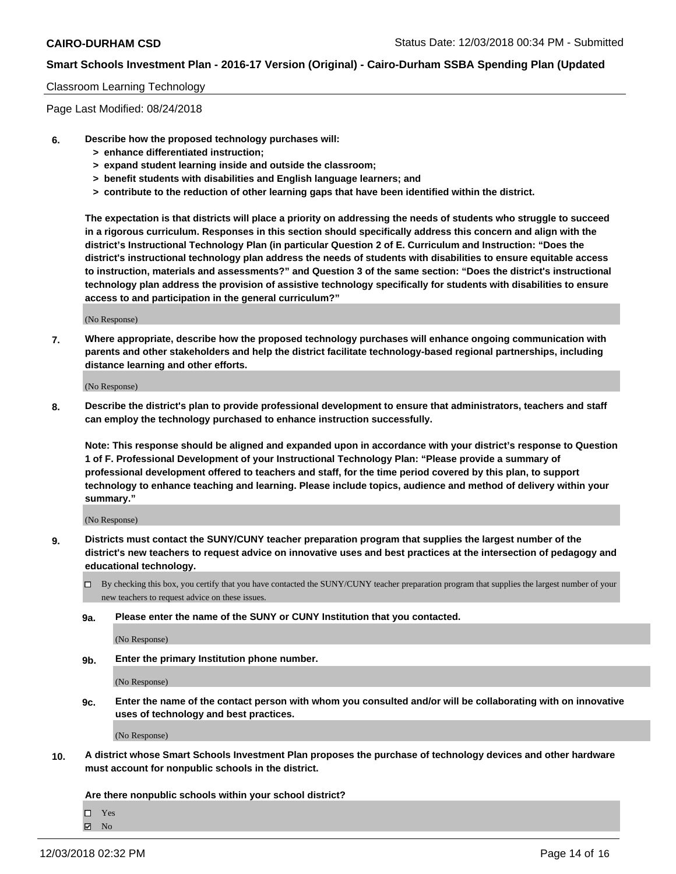#### Classroom Learning Technology

Page Last Modified: 08/24/2018

- **6. Describe how the proposed technology purchases will:**
	- **> enhance differentiated instruction;**
	- **> expand student learning inside and outside the classroom;**
	- **> benefit students with disabilities and English language learners; and**
	- **> contribute to the reduction of other learning gaps that have been identified within the district.**

**The expectation is that districts will place a priority on addressing the needs of students who struggle to succeed in a rigorous curriculum. Responses in this section should specifically address this concern and align with the district's Instructional Technology Plan (in particular Question 2 of E. Curriculum and Instruction: "Does the district's instructional technology plan address the needs of students with disabilities to ensure equitable access to instruction, materials and assessments?" and Question 3 of the same section: "Does the district's instructional technology plan address the provision of assistive technology specifically for students with disabilities to ensure access to and participation in the general curriculum?"**

(No Response)

**7. Where appropriate, describe how the proposed technology purchases will enhance ongoing communication with parents and other stakeholders and help the district facilitate technology-based regional partnerships, including distance learning and other efforts.**

(No Response)

**8. Describe the district's plan to provide professional development to ensure that administrators, teachers and staff can employ the technology purchased to enhance instruction successfully.**

**Note: This response should be aligned and expanded upon in accordance with your district's response to Question 1 of F. Professional Development of your Instructional Technology Plan: "Please provide a summary of professional development offered to teachers and staff, for the time period covered by this plan, to support technology to enhance teaching and learning. Please include topics, audience and method of delivery within your summary."**

(No Response)

- **9. Districts must contact the SUNY/CUNY teacher preparation program that supplies the largest number of the district's new teachers to request advice on innovative uses and best practices at the intersection of pedagogy and educational technology.**
	- $\Box$  By checking this box, you certify that you have contacted the SUNY/CUNY teacher preparation program that supplies the largest number of your new teachers to request advice on these issues.
	- **9a. Please enter the name of the SUNY or CUNY Institution that you contacted.**

(No Response)

**9b. Enter the primary Institution phone number.**

(No Response)

**9c. Enter the name of the contact person with whom you consulted and/or will be collaborating with on innovative uses of technology and best practices.**

(No Response)

**10. A district whose Smart Schools Investment Plan proposes the purchase of technology devices and other hardware must account for nonpublic schools in the district.**

**Are there nonpublic schools within your school district?**

Yes

 $\boxtimes$  No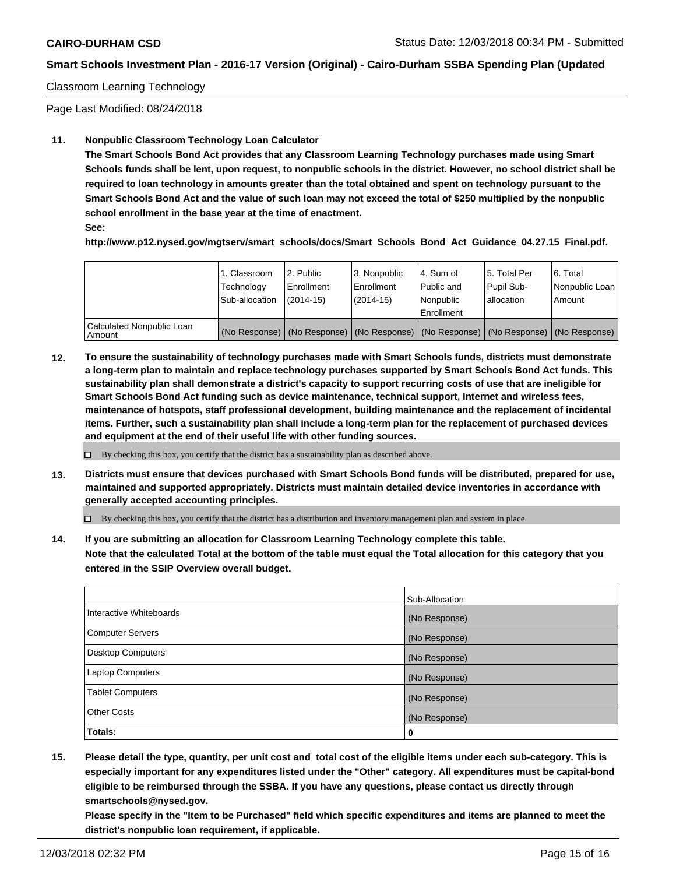#### Classroom Learning Technology

Page Last Modified: 08/24/2018

#### **11. Nonpublic Classroom Technology Loan Calculator**

**The Smart Schools Bond Act provides that any Classroom Learning Technology purchases made using Smart Schools funds shall be lent, upon request, to nonpublic schools in the district. However, no school district shall be required to loan technology in amounts greater than the total obtained and spent on technology pursuant to the Smart Schools Bond Act and the value of such loan may not exceed the total of \$250 multiplied by the nonpublic school enrollment in the base year at the time of enactment.**

**See:**

**http://www.p12.nysed.gov/mgtserv/smart\_schools/docs/Smart\_Schools\_Bond\_Act\_Guidance\_04.27.15\_Final.pdf.**

|                                       | 1. Classroom<br>Technology<br>Sub-allocation | 2. Public<br>l Enrollment<br>$(2014-15)$ | 3. Nonpublic<br>Enrollment<br>$(2014-15)$ | l 4. Sum of<br>Public and<br>l Nonpublic<br>l Enrollment | 15. Total Per<br>Pupil Sub-<br>lallocation | 6. Total<br>Nonpublic Loan  <br>Amount                                                        |
|---------------------------------------|----------------------------------------------|------------------------------------------|-------------------------------------------|----------------------------------------------------------|--------------------------------------------|-----------------------------------------------------------------------------------------------|
| Calculated Nonpublic Loan<br>l Amount |                                              |                                          |                                           |                                                          |                                            | (No Response)   (No Response)   (No Response)   (No Response)   (No Response)   (No Response) |

**12. To ensure the sustainability of technology purchases made with Smart Schools funds, districts must demonstrate a long-term plan to maintain and replace technology purchases supported by Smart Schools Bond Act funds. This sustainability plan shall demonstrate a district's capacity to support recurring costs of use that are ineligible for Smart Schools Bond Act funding such as device maintenance, technical support, Internet and wireless fees, maintenance of hotspots, staff professional development, building maintenance and the replacement of incidental items. Further, such a sustainability plan shall include a long-term plan for the replacement of purchased devices and equipment at the end of their useful life with other funding sources.**

 $\Box$  By checking this box, you certify that the district has a sustainability plan as described above.

**13. Districts must ensure that devices purchased with Smart Schools Bond funds will be distributed, prepared for use, maintained and supported appropriately. Districts must maintain detailed device inventories in accordance with generally accepted accounting principles.**

By checking this box, you certify that the district has a distribution and inventory management plan and system in place.

**14. If you are submitting an allocation for Classroom Learning Technology complete this table. Note that the calculated Total at the bottom of the table must equal the Total allocation for this category that you entered in the SSIP Overview overall budget.**

|                          | Sub-Allocation |
|--------------------------|----------------|
| Interactive Whiteboards  | (No Response)  |
| <b>Computer Servers</b>  | (No Response)  |
| <b>Desktop Computers</b> | (No Response)  |
| <b>Laptop Computers</b>  | (No Response)  |
| <b>Tablet Computers</b>  | (No Response)  |
| <b>Other Costs</b>       | (No Response)  |
| Totals:                  | 0              |

**15. Please detail the type, quantity, per unit cost and total cost of the eligible items under each sub-category. This is especially important for any expenditures listed under the "Other" category. All expenditures must be capital-bond eligible to be reimbursed through the SSBA. If you have any questions, please contact us directly through smartschools@nysed.gov.**

**Please specify in the "Item to be Purchased" field which specific expenditures and items are planned to meet the district's nonpublic loan requirement, if applicable.**